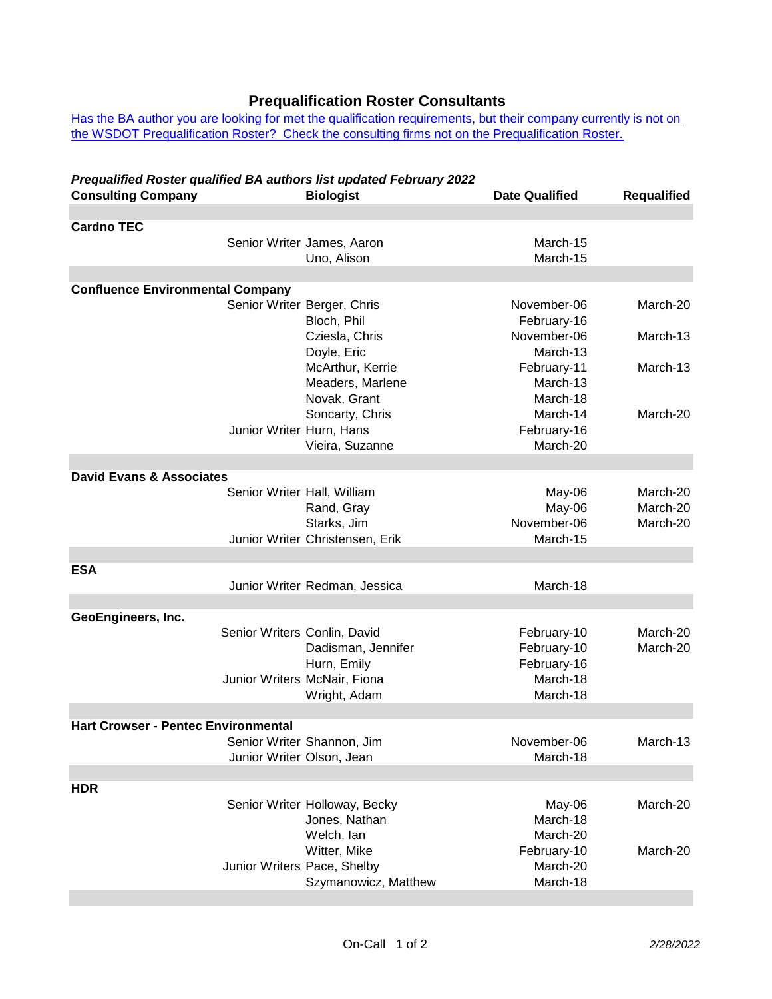## **Prequalification Roster Consultants**

[Has the BA author you are looking for met](http://www.wsdot.wa.gov/NR/rdonlyres/9AB5B1E1-D81A-4070-834C-CA171D9EDCD9/0/BA_WritersNotOncall.pdf) the qualification requirements, but their company currently is not on [the WSDOT Prequalification Roster? Che](http://www.wsdot.wa.gov/NR/rdonlyres/9AB5B1E1-D81A-4070-834C-CA171D9EDCD9/0/BA_WritersNotOncall.pdf)ck the consulting firms not on the Prequalification Roster.

## *Prequalified Roster qualified BA authors list updated February 2022*

| <b>Consulting Company</b>                  |                              | <b>Biologist</b>                               | <b>Date Qualified</b>      | <b>Requalified</b>   |  |  |  |
|--------------------------------------------|------------------------------|------------------------------------------------|----------------------------|----------------------|--|--|--|
|                                            |                              |                                                |                            |                      |  |  |  |
| <b>Cardno TEC</b>                          |                              | Senior Writer James, Aaron                     | March-15                   |                      |  |  |  |
|                                            |                              | Uno, Alison                                    | March-15                   |                      |  |  |  |
| <b>Confluence Environmental Company</b>    |                              |                                                |                            |                      |  |  |  |
|                                            |                              | Senior Writer Berger, Chris                    | November-06                | March-20             |  |  |  |
|                                            |                              | Bloch, Phil                                    | February-16                |                      |  |  |  |
|                                            |                              | Cziesla, Chris                                 | November-06                | March-13             |  |  |  |
|                                            |                              | Doyle, Eric                                    | March-13                   |                      |  |  |  |
|                                            |                              | McArthur, Kerrie                               | February-11                | March-13             |  |  |  |
|                                            |                              | Meaders, Marlene                               | March-13                   |                      |  |  |  |
|                                            |                              | Novak, Grant                                   | March-18                   |                      |  |  |  |
|                                            |                              | Soncarty, Chris                                | March-14                   | March-20             |  |  |  |
|                                            | Junior Writer Hurn, Hans     |                                                | February-16                |                      |  |  |  |
|                                            |                              | Vieira, Suzanne                                | March-20                   |                      |  |  |  |
| <b>David Evans &amp; Associates</b>        |                              |                                                |                            |                      |  |  |  |
|                                            | Senior Writer Hall, William  |                                                | May-06                     | March-20             |  |  |  |
|                                            |                              | Rand, Gray                                     | May-06                     | March-20             |  |  |  |
|                                            |                              | Starks, Jim                                    | November-06                | March-20             |  |  |  |
|                                            |                              | Junior Writer Christensen, Erik                | March-15                   |                      |  |  |  |
|                                            |                              |                                                |                            |                      |  |  |  |
| <b>ESA</b>                                 |                              |                                                |                            |                      |  |  |  |
|                                            |                              | Junior Writer Redman, Jessica                  | March-18                   |                      |  |  |  |
|                                            |                              |                                                |                            |                      |  |  |  |
| GeoEngineers, Inc.                         |                              |                                                |                            |                      |  |  |  |
|                                            | Senior Writers Conlin, David | Dadisman, Jennifer                             | February-10<br>February-10 | March-20<br>March-20 |  |  |  |
|                                            |                              | Hurn, Emily                                    | February-16                |                      |  |  |  |
|                                            |                              | Junior Writers McNair, Fiona                   | March-18                   |                      |  |  |  |
|                                            |                              | Wright, Adam                                   | March-18                   |                      |  |  |  |
|                                            |                              |                                                |                            |                      |  |  |  |
| <b>Hart Crowser - Pentec Environmental</b> |                              |                                                |                            |                      |  |  |  |
|                                            |                              | Senior Writer Shannon, Jim                     | November-06                | March-13             |  |  |  |
|                                            | Junior Writer Olson, Jean    |                                                | March-18                   |                      |  |  |  |
|                                            |                              |                                                |                            |                      |  |  |  |
| <b>HDR</b>                                 |                              |                                                |                            |                      |  |  |  |
|                                            |                              | Senior Writer Holloway, Becky<br>Jones, Nathan | May-06<br>March-18         | March-20             |  |  |  |
|                                            |                              | Welch, lan                                     | March-20                   |                      |  |  |  |
|                                            |                              | Witter, Mike                                   | February-10                | March-20             |  |  |  |
|                                            | Junior Writers Pace, Shelby  |                                                | March-20                   |                      |  |  |  |
|                                            |                              | Szymanowicz, Matthew                           | March-18                   |                      |  |  |  |
|                                            |                              |                                                |                            |                      |  |  |  |